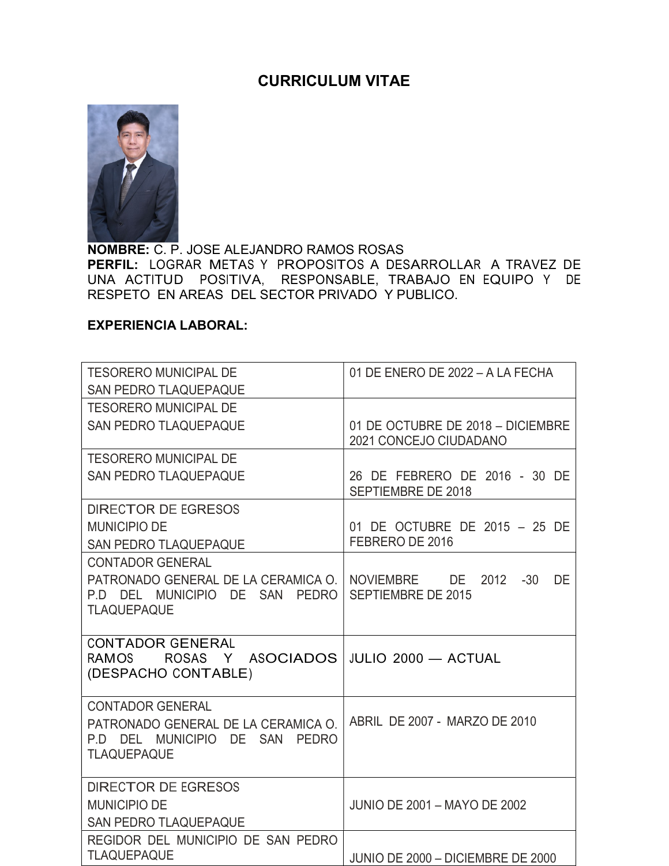## CURRICULUM VITAE



NOMBRE: C. P. JOSE ALEJANDRO RAMOS ROSAS PERFIL: LOGRAR METAS Y PROPOSITOS A DESARROLLAR A TRAVEZ DE UNA ACTITUD POSITIVA, RESPONSABLE, TRABAJO EN EQUIPO Y DE RESPETO EN AREAS DEL SECTOR PRIVADO Y PUBLICO.

## EXPERIENCIA LABORAL:

| <b>TESORERO MUNICIPAL DE</b>                                                                                           | 01 DE ENERO DE 2022 – A LA FECHA                               |  |
|------------------------------------------------------------------------------------------------------------------------|----------------------------------------------------------------|--|
| <b>SAN PEDRO TLAQUEPAQUE</b><br><b>TESORERO MUNICIPAL DE</b>                                                           |                                                                |  |
| <b>SAN PEDRO TLAQUEPAQUE</b>                                                                                           | 01 DE OCTUBRE DE 2018 - DICIEMBRE<br>2021 CONCEJO CIUDADANO    |  |
| <b>TESORERO MUNICIPAL DE</b>                                                                                           |                                                                |  |
| <b>SAN PEDRO TLAQUEPAQUE</b>                                                                                           | 26 DE FEBRERO DE 2016 - 30 DE<br><b>SEPTIEMBRE DE 2018</b>     |  |
| DIRECTOR DE EGRESOS<br><b>MUNICIPIO DE</b><br><b>SAN PEDRO TLAQUEPAQUE</b>                                             | 01 DE OCTUBRE DE 2015 - 25 DE<br>FEBRERO DE 2016               |  |
| <b>CONTADOR GENERAL</b><br>PATRONADO GENERAL DE LA CERAMICA O.<br>P.D DEL MUNICIPIO DE SAN PEDRO<br><b>TLAQUEPAQUE</b> | NOVIEMBRE DE<br>2012<br>-30<br>DE<br><b>SEPTIEMBRE DE 2015</b> |  |
| <b>CONTADOR GENERAL</b><br>ROSAS Y ASOCIADOS<br><b>RAMOS</b><br>(DESPACHO CONTABLE)                                    | JULIO 2000 — ACTUAL                                            |  |
| <b>CONTADOR GENERAL</b><br>PATRONADO GENERAL DE LA CERAMICA O.<br>P.D DEL MUNICIPIO DE SAN PEDRO<br><b>TLAQUEPAQUE</b> | ABRIL DE 2007 - MARZO DE 2010                                  |  |
| DIRECTOR DE EGRESOS<br><b>MUNICIPIO DE</b><br><b>SAN PEDRO TLAQUEPAQUE</b>                                             | <b>JUNIO DE 2001 – MAYO DE 2002</b>                            |  |
| REGIDOR DEL MUNICIPIO DE SAN PEDRO<br><b>TLAQUEPAQUE</b>                                                               | JUNIO DE 2000 – DICIEMBRE DE 2000                              |  |